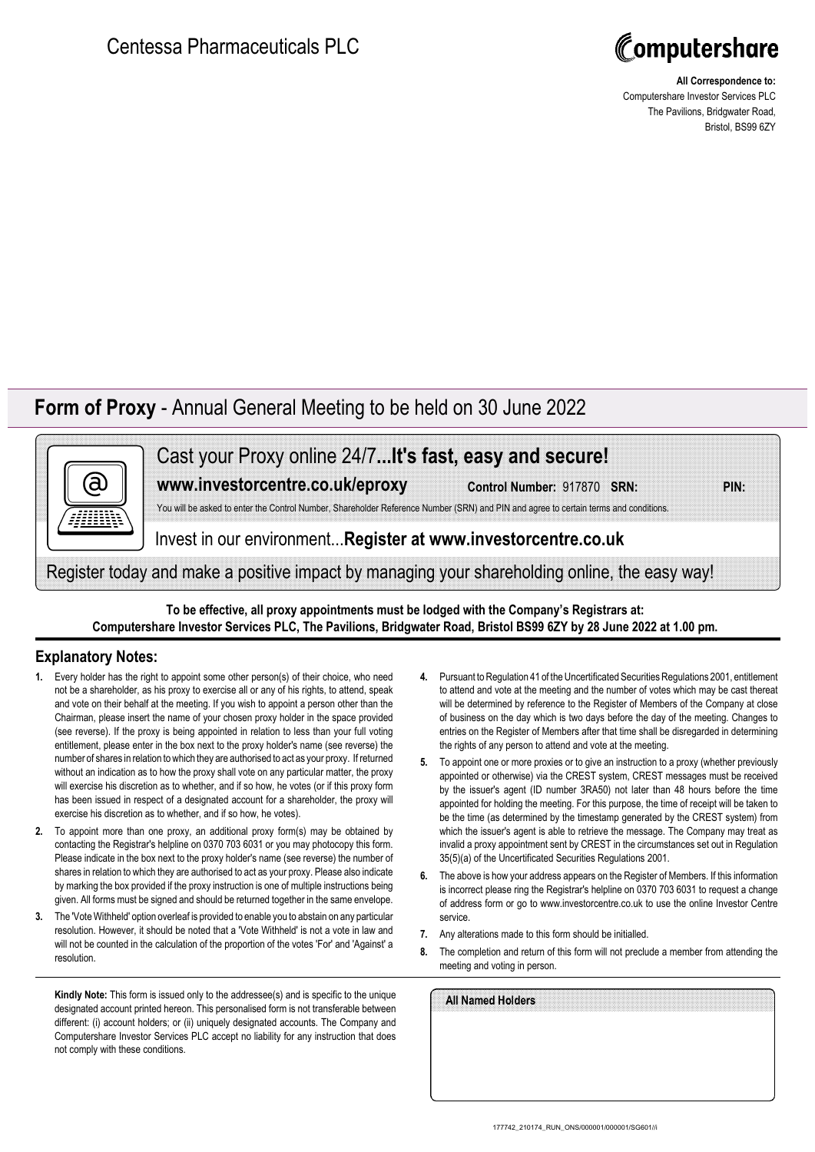

**All Correspondence to:** Computershare Investor Services PLC The Pavilions, Bridgwater Road, Bristol, BS99 6ZY

## **Form of Proxy** - Annual General Meeting to be held on 30 June 2022



Cast your Proxy online 24/7**...It's fast, easy and secure!**

**www.investorcentre.co.uk/eproxy**

**Control Number:** 917870 **SRN: PIN:**

You will be asked to enter the Control Number, Shareholder Reference Number (SRN) and PIN and agree to certain terms and conditions.

Invest in our environment...**Register at www.investorcentre.co.uk**

Register today and make a positive impact by managing your shareholding online, the easy way!

**To be effective, all proxy appointments must be lodged with the Company's Registrars at: Computershare Investor Services PLC, The Pavilions, Bridgwater Road, Bristol BS99 6ZY by 28 June 2022 at 1.00 pm.**

## **Explanatory Notes:**

- **1.** Every holder has the right to appoint some other person(s) of their choice, who need not be a shareholder, as his proxy to exercise all or any of his rights, to attend, speak and vote on their behalf at the meeting. If you wish to appoint a person other than the Chairman, please insert the name of your chosen proxy holder in the space provided (see reverse). If the proxy is being appointed in relation to less than your full voting entitlement, please enter in the box next to the proxy holder's name (see reverse) the number of shares in relation to which they are authorised to act as your proxy. If returned without an indication as to how the proxy shall vote on any particular matter, the proxy will exercise his discretion as to whether, and if so how, he votes (or if this proxy form has been issued in respect of a designated account for a shareholder, the proxy will exercise his discretion as to whether, and if so how, he votes).
- **2.** To appoint more than one proxy, an additional proxy form(s) may be obtained by contacting the Registrar's helpline on 0370 703 6031 or you may photocopy this form. Please indicate in the box next to the proxy holder's name (see reverse) the number of shares in relation to which they are authorised to act as your proxy. Please also indicate by marking the box provided if the proxy instruction is one of multiple instructions being given. All forms must be signed and should be returned together in the same envelope.
- **3.** The 'Vote Withheld' option overleaf is provided to enable you to abstain on any particular resolution. However, it should be noted that a 'Vote Withheld' is not a vote in law and will not be counted in the calculation of the proportion of the votes 'For' and 'Against' a resolution.

**Kindly Note:** This form is issued only to the addressee(s) and is specific to the unique designated account printed hereon. This personalised form is not transferable between different: (i) account holders; or (ii) uniquely designated accounts. The Company and Computershare Investor Services PLC accept no liability for any instruction that does not comply with these conditions.

- **4.** Pursuant to Regulation 41 of the Uncertificated Securities Regulations 2001, entitlement to attend and vote at the meeting and the number of votes which may be cast thereat will be determined by reference to the Register of Members of the Company at close of business on the day which is two days before the day of the meeting. Changes to entries on the Register of Members after that time shall be disregarded in determining the rights of any person to attend and vote at the meeting.
- **5.** To appoint one or more proxies or to give an instruction to a proxy (whether previously appointed or otherwise) via the CREST system, CREST messages must be received by the issuer's agent (ID number 3RA50) not later than 48 hours before the time appointed for holding the meeting. For this purpose, the time of receipt will be taken to be the time (as determined by the timestamp generated by the CREST system) from which the issuer's agent is able to retrieve the message. The Company may treat as invalid a proxy appointment sent by CREST in the circumstances set out in Regulation 35(5)(a) of the Uncertificated Securities Regulations 2001.
- **6.** The above is how your address appears on the Register of Members. If this information is incorrect please ring the Registrar's helpline on 0370 703 6031 to request a change of address form or go to www.investorcentre.co.uk to use the online Investor Centre service.
- **7.** Any alterations made to this form should be initialled.
- **8.** The completion and return of this form will not preclude a member from attending the meeting and voting in person.

| All Named Holders |  |  |  |
|-------------------|--|--|--|
|                   |  |  |  |
|                   |  |  |  |
|                   |  |  |  |
|                   |  |  |  |